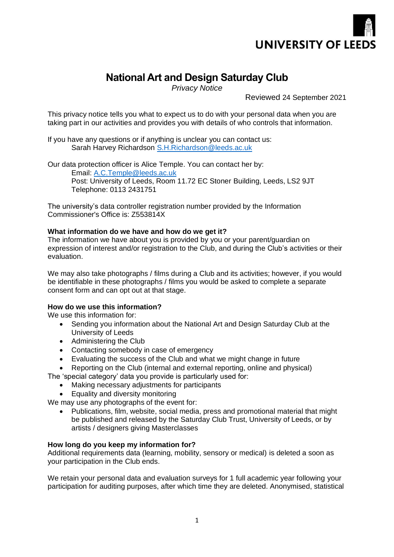

# **National Art and Design Saturday Club**

*Privacy Notice*

Reviewed 24 September 2021

This privacy notice tells you what to expect us to do with your personal data when you are taking part in our activities and provides you with details of who controls that information.

If you have any questions or if anything is unclear you can contact us: Sarah Harvey Richardson [S.H.Richardson@leeds.ac.uk](mailto:S.H.Richardson@leeds.ac.uk)

Our data protection officer is Alice Temple. You can contact her by: Email: A.C.Temple@leeds.ac.uk Post: University of Leeds, Room 11.72 EC Stoner Building, Leeds, LS2 9JT Telephone: 0113 2431751

The university's data controller registration number provided by the Information Commissioner's Office is: Z553814X

# **What information do we have and how do we get it?**

The information we have about you is provided by you or your parent/guardian on expression of interest and/or registration to the Club, and during the Club's activities or their evaluation.

We may also take photographs / films during a Club and its activities; however, if you would be identifiable in these photographs / films you would be asked to complete a separate consent form and can opt out at that stage.

## **How do we use this information?**

We use this information for:

- Sending you information about the National Art and Design Saturday Club at the University of Leeds
- Administering the Club
- Contacting somebody in case of emergency
- Evaluating the success of the Club and what we might change in future
- Reporting on the Club (internal and external reporting, online and physical)

The 'special category' data you provide is particularly used for:

- Making necessary adjustments for participants
- Equality and diversity monitoring

We may use any photographs of the event for:

• Publications, film, website, social media, press and promotional material that might be published and released by the Saturday Club Trust, University of Leeds, or by artists / designers giving Masterclasses

## **How long do you keep my information for?**

Additional requirements data (learning, mobility, sensory or medical) is deleted a soon as your participation in the Club ends.

We retain your personal data and evaluation surveys for 1 full academic year following your participation for auditing purposes, after which time they are deleted. Anonymised, statistical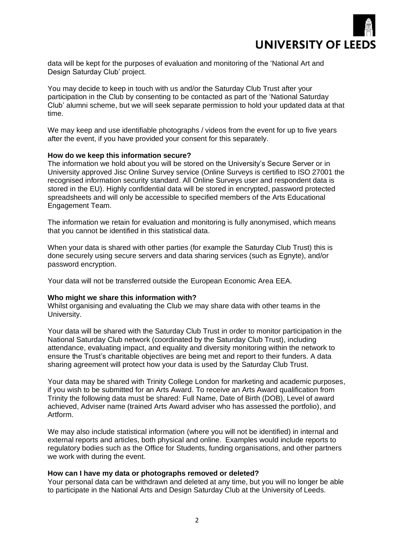

data will be kept for the purposes of evaluation and monitoring of the 'National Art and Design Saturday Club' project.

You may decide to keep in touch with us and/or the Saturday Club Trust after your participation in the Club by consenting to be contacted as part of the 'National Saturday Club' alumni scheme, but we will seek separate permission to hold your updated data at that time.

We may keep and use identifiable photographs / videos from the event for up to five years after the event, if you have provided your consent for this separately.

#### **How do we keep this information secure?**

The information we hold about you will be stored on the University's Secure Server or in University approved Jisc Online Survey service (Online Surveys is certified to ISO 27001 the recognised information security standard. All Online Surveys user and respondent data is stored in the EU). Highly confidential data will be stored in encrypted, password protected spreadsheets and will only be accessible to specified members of the Arts Educational Engagement Team.

The information we retain for evaluation and monitoring is fully anonymised, which means that you cannot be identified in this statistical data.

When your data is shared with other parties (for example the Saturday Club Trust) this is done securely using secure servers and data sharing services (such as Egnyte), and/or password encryption.

Your data will not be transferred outside the European Economic Area EEA.

#### **Who might we share this information with?**

Whilst organising and evaluating the Club we may share data with other teams in the University.

Your data will be shared with the Saturday Club Trust in order to monitor participation in the National Saturday Club network (coordinated by the Saturday Club Trust), including attendance, evaluating impact, and equality and diversity monitoring within the network to ensure the Trust's charitable objectives are being met and report to their funders. A data sharing agreement will protect how your data is used by the Saturday Club Trust.

Your data may be shared with Trinity College London for marketing and academic purposes, if you wish to be submitted for an Arts Award. To receive an Arts Award qualification from Trinity the following data must be shared: Full Name, Date of Birth (DOB), Level of award achieved, Adviser name (trained Arts Award adviser who has assessed the portfolio), and Artform.

We may also include statistical information (where you will not be identified) in internal and external reports and articles, both physical and online. Examples would include reports to regulatory bodies such as the Office for Students, funding organisations, and other partners we work with during the event.

#### **How can I have my data or photographs removed or deleted?**

Your personal data can be withdrawn and deleted at any time, but you will no longer be able to participate in the National Arts and Design Saturday Club at the University of Leeds.